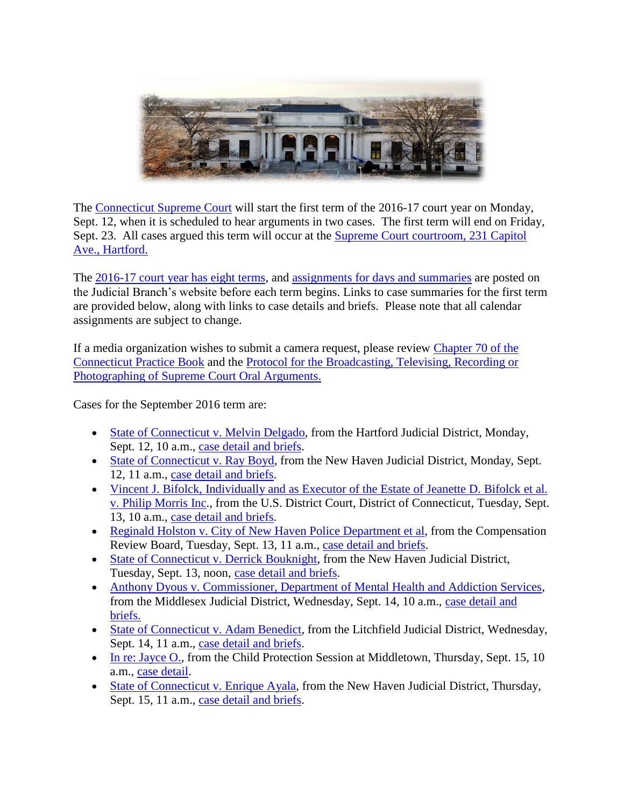

The [Connecticut Supreme Court](http://jud.ct.gov/supremecourt/) will start the first term of the 2016-17 court year on Monday, Sept. 12, when it is scheduled to hear arguments in two cases. The first term will end on Friday, Sept. 23. All cases argued this term will occur at the [Supreme Court courtroom, 231 Capitol](http://www.jud.ct.gov/directory/directory/directions/supremecourt.htm)  [Ave., Hartford.](http://www.jud.ct.gov/directory/directory/directions/supremecourt.htm)

The 2016-17 [court year has eight terms,](http://www.jud.ct.gov/external/supapp/CourtTermSup.htm) and [assignments for days and summaries](http://www.jud.ct.gov/external/supapp/sup_assign.htm) are posted on the Judicial Branch's website before each term begins. Links to case summaries for the first term are provided below, along with links to case details and briefs. Please note that all calendar assignments are subject to change.

If a media organization wishes to submit a camera request, please review [Chapter 70 of the](http://www.jud.ct.gov/pb.htm)  [Connecticut Practice Book](http://www.jud.ct.gov/pb.htm) and the [Protocol for the Broadcasting, Televising, Recording or](http://www.jud.ct.gov/external/supapp/protocol_sup_oral_argu.htm)  [Photographing of Supreme](http://www.jud.ct.gov/external/supapp/protocol_sup_oral_argu.htm) Court Oral Arguments.

Cases for the September 2016 term are:

- [State of Connecticut v. Melvin Delgado,](http://www.jud.ct.gov/external/supapp/Summaries/Docket/19663.htm) from the Hartford Judicial District, Monday, Sept. 12, 10 a.m., [case detail and briefs.](http://appellateinquiry.jud.ct.gov/CaseDetail.aspx?CRN=53611&Type=AppealNo)
- [State of Connecticut v. Ray Boyd,](http://www.jud.ct.gov/external/supapp/Summaries/Docket/19673.htm) from the New Haven Judicial District, Monday, Sept. 12, 11 a.m., [case detail and briefs.](http://appellateinquiry.jud.ct.gov/CaseDetail.aspx?CRN=53685&Type=AppealNo)
- [Vincent J. Bifolck, Individually and as Executor of the Estate of Jeanette D. Bifolck](http://www.jud.ct.gov/external/supapp/Summaries/Docket/19310.htm) et al. [v. Philip Morris Inc.](http://www.jud.ct.gov/external/supapp/Summaries/Docket/19310.htm), from the U.S. District Court, District of Connecticut, Tuesday, Sept. 13, 10 a.m., [case detail and briefs.](http://appellateinquiry.jud.ct.gov/CaseDetail.aspx?CRN=49328&Type=AppealNo)
- [Reginald Holston v. City of New Haven Police Department et al,](http://www.jud.ct.gov/external/supapp/Summaries/Docket/19631.htm) from the Compensation Review Board, Tuesday, Sept. 13, 11 a.m., [case detail and briefs.](http://appellateinquiry.jud.ct.gov/CaseDetail.aspx?CRN=53227&Type=AppealNo)
- [State of Connecticut v. Derrick Bouknight,](http://www.jud.ct.gov/external/supapp/Summaries/Docket/19326.htm) from the New Haven Judicial District, Tuesday, Sept. 13, noon, [case detail and briefs.](http://appellateinquiry.jud.ct.gov/CaseDetail.aspx?CRN=49596&Type=AppealNo)
- [Anthony Dyous v. Commissioner, Department of Mental Health and Addiction Services,](http://www.jud.ct.gov/external/supapp/Summaries/Docket/19582.htm) from the Middlesex Judicial District, Wednesday, Sept. 14, 10 a.m., [case detail and](http://appellateinquiry.jud.ct.gov/CaseDetail.aspx?CRN=52726&Type=AppealNo)  [briefs.](http://appellateinquiry.jud.ct.gov/CaseDetail.aspx?CRN=52726&Type=AppealNo)
- [State of Connecticut v. Adam Benedict,](http://www.jud.ct.gov/external/supapp/Summaries/Docket/19549.htm) from the Litchfield Judicial District, Wednesday, Sept. 14, 11 a.m., [case detail and briefs.](http://appellateinquiry.jud.ct.gov/CaseDetail.aspx?CRN=52459&Type=AppealNo)
- [In re: Jayce O.,](http://www.jud.ct.gov/external/supapp/Summaries/Docket/19669.htm) from the Child Protection Session at Middletown, Thursday, Sept. 15, 10 a.m., [case detail.](http://appellateinquiry.jud.ct.gov/CaseDetail.aspx?CRN=53632&Type=AppealNo)
- [State of Connecticut v. Enrique Ayala,](http://www.jud.ct.gov/external/supapp/Summaries/Docket/19466.htm) from the New Haven Judicial District, Thursday, Sept. 15, 11 a.m., [case detail and briefs.](http://appellateinquiry.jud.ct.gov/CaseDetail.aspx?CRN=51473&Type=AppealNo)